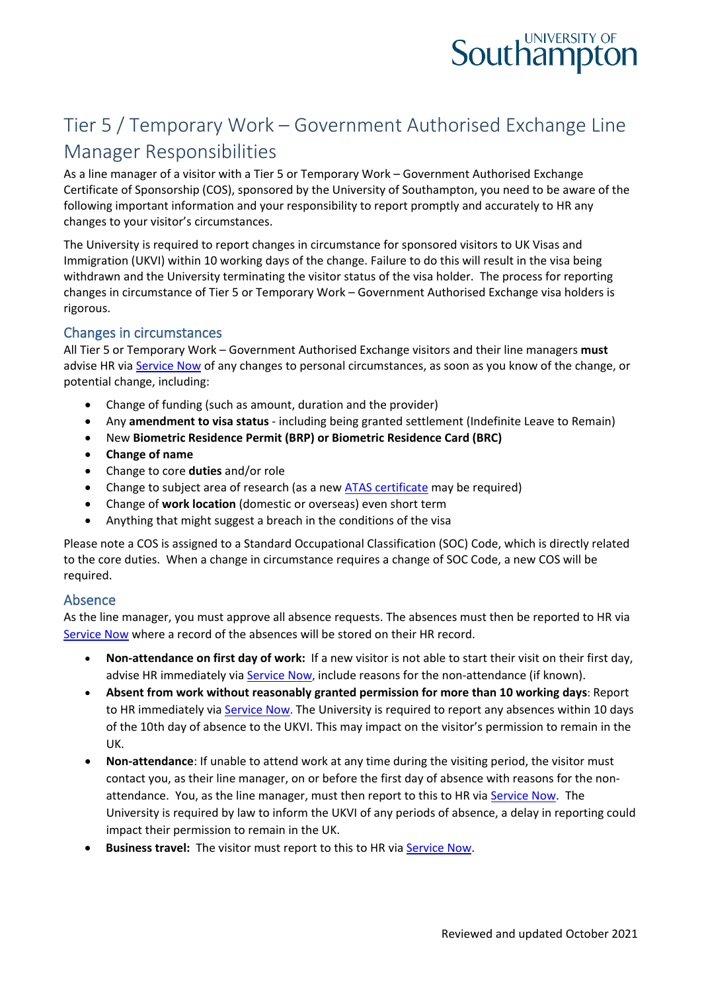

# Tier 5 / Temporary Work – Government Authorised Exchange Line Manager Responsibilities

As a line manager of a visitor with a Tier 5 or Temporary Work – Government Authorised Exchange Certificate of Sponsorship (COS), sponsored by the University of Southampton, you need to be aware of the following important information and your responsibility to report promptly and accurately to HR any changes to your visitor's circumstances.

The University is required to report changes in circumstance for sponsored visitors to UK Visas and Immigration (UKVI) within 10 working days of the change. Failure to do this will result in the visa being withdrawn and the University terminating the visitor status of the visa holder. The process for reporting changes in circumstance of Tier 5 or Temporary Work – Government Authorised Exchange visa holders is rigorous.

#### Changes in circumstances

All Tier 5 or Temporary Work – Government Authorised Exchange visitors and their line managers **must** advise HR via [Service Now](https://sotonproduction.service-now.com/serviceportal?id=sc_cat_item&sys_id=c562ba80db0097006f3df57eaf9619d3) of any changes to personal circumstances, as soon as you know of the change, or potential change, including:

- Change of funding (such as amount, duration and the provider)
- Any **amendment to visa status** including being granted settlement (Indefinite Leave to Remain)
- New **Biometric Residence Permit (BRP) or Biometric Residence Card (BRC)**
- **Change of name**
- Change to core **duties** and/or role
- Change to subject area of research (as a new [ATAS certificate](https://www.gov.uk/guidance/academic-technology-approval-scheme) may be required)
- Change of **work location** (domestic or overseas) even short term
- Anything that might suggest a breach in the conditions of the visa

Please note a COS is assigned to a Standard Occupational Classification (SOC) Code, which is directly related to the core duties. When a change in circumstance requires a change of SOC Code, a new COS will be required.

#### Absence

As the line manager, you must approve all absence requests. The absences must then be reported to HR via [Service Now](https://sotonproduction.service-now.com/serviceportal?id=sc_cat_item&sys_id=c562ba80db0097006f3df57eaf9619d3) where a record of the absences will be stored on their HR record.

- **Non-attendance on first day of work:** If a new visitor is not able to start their visit on their first day, advise HR immediately vi[a Service Now,](https://sotonproduction.service-now.com/serviceportal?id=sc_category&catalog_id=67f29765db9857406f3df57eaf961941) include reasons for the non-attendance (if known).
- **Absent from work without reasonably granted permission for more than 10 working days**: Report to HR immediately via [Service Now.](https://sotonproduction.service-now.com/serviceportal?id=sc_category&catalog_id=67f29765db9857406f3df57eaf961941) The University is required to report any absences within 10 days of the 10th day of absence to the UKVI. This may impact on the visitor's permission to remain in the UK.
- **Non-attendance**: If unable to attend work at any time during the visiting period, the visitor must contact you, as their line manager, on or before the first day of absence with reasons for the nonattendance. You, as the line manager, must then report to this to HR via [Service Now.](https://sotonproduction.service-now.com/serviceportal?id=sc_cat_item&sys_id=c562ba80db0097006f3df57eaf9619d3) The University is required by law to inform the UKVI of any periods of absence, a delay in reporting could impact their permission to remain in the UK.
- **Business travel:** The visitor must report to this to HR vi[a Service Now.](https://sotonproduction.service-now.com/serviceportal?id=sc_cat_item&sys_id=c562ba80db0097006f3df57eaf9619d3)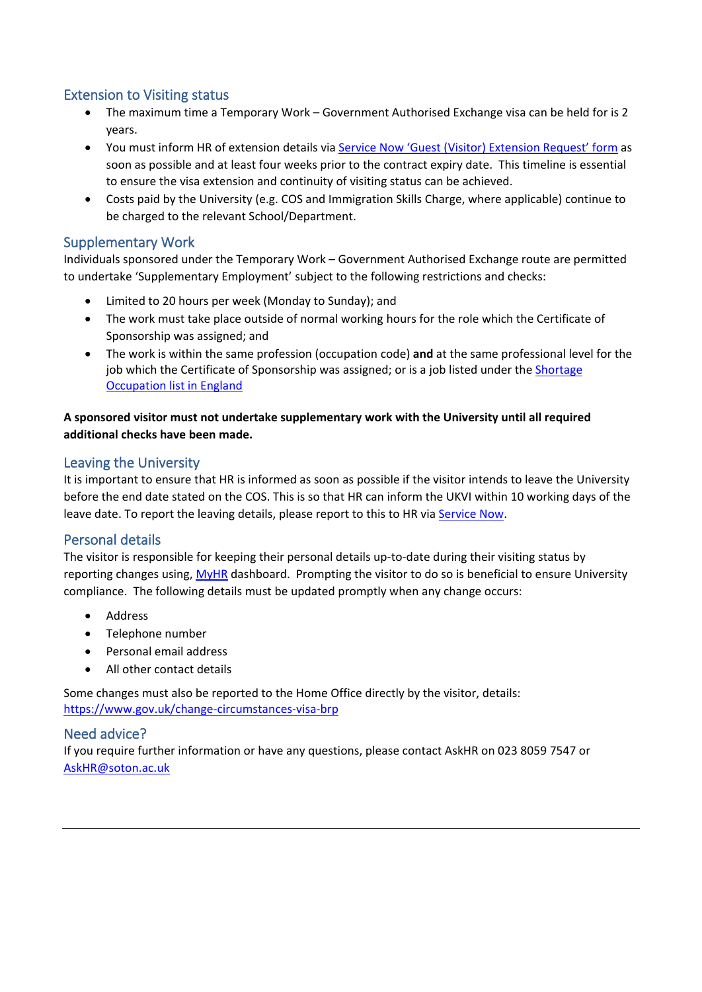# Extension to Visiting status

- The maximum time a Temporary Work Government Authorised Exchange visa can be held for is 2 years.
- You must inform HR of extension details via [Service Now 'Guest \(Visitor\)](https://sotonproduction.service-now.com/serviceportal?id=sc_cat_item&sys_id=8858a6854f3e0f00f53f36e18110c72e&sysparm_category=47cb8195dba56340f91c8c994b96193d) Extension Request' form as soon as possible and at least four weeks prior to the contract expiry date. This timeline is essential to ensure the visa extension and continuity of visiting status can be achieved.
- Costs paid by the University (e.g. COS and Immigration Skills Charge, where applicable) continue to be charged to the relevant School/Department.

## Supplementary Work

Individuals sponsored under the Temporary Work – Government Authorised Exchange route are permitted to undertake 'Supplementary Employment' subject to the following restrictions and checks:

- Limited to 20 hours per week (Monday to Sunday); and
- The work must take place outside of normal working hours for the role which the Certificate of Sponsorship was assigned; and
- The work is within the same profession (occupation code) **and** at the same professional level for the job which the Certificate of Sponsorship was assigned; or is a job listed under the Shortage [Occupation list in England](https://www.gov.uk/government/publications/skilled-worker-visa-shortage-occupations/skilled-worker-visa-shortage-occupations)

#### **A sponsored visitor must not undertake supplementary work with the University until all required additional checks have been made.**

#### Leaving the University

It is important to ensure that HR is informed as soon as possible if the visitor intends to leave the University before the end date stated on the COS. This is so that HR can inform the UKVI within 10 working days of the leave date. To report the leaving details, please report to this to HR via [Service Now.](https://sotonproduction.service-now.com/serviceportal?id=sc_cat_item&sys_id=c562ba80db0097006f3df57eaf9619d3)

#### Personal details

The visitor is responsible for keeping their personal details up-to-date during their visiting status by reporting changes using, [MyHR](https://myhr.soton.ac.uk/dashboard/dashboard-ui/index.html#/landing) dashboard. Prompting the visitor to do so is beneficial to ensure University compliance. The following details must be updated promptly when any change occurs:

- Address
- Telephone number
- Personal email address
- All other contact details

Some changes must also be reported to the Home Office directly by the visitor, details: <https://www.gov.uk/change-circumstances-visa-brp>

#### Need advice?

If you require further information or have any questions, please contact AskHR on 023 8059 7547 or [AskHR@soton.ac.uk](mailto:AskHR@soton.ac.uk)